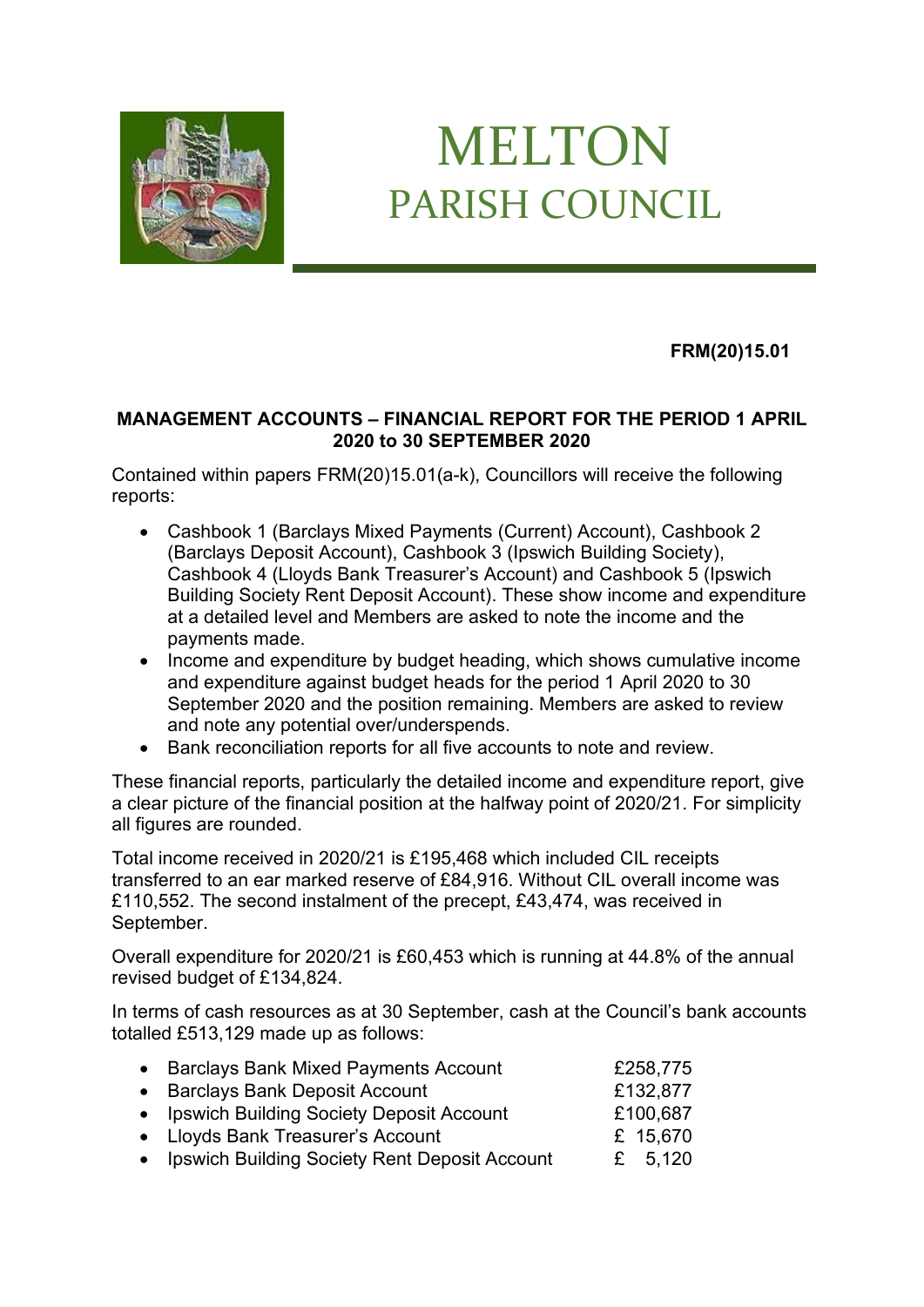

## MELTON PARISH COUNCIL

**FRM(20)15.01**

## **MANAGEMENT ACCOUNTS – FINANCIAL REPORT FOR THE PERIOD 1 APRIL 2020 to 30 SEPTEMBER 2020**

Contained within papers FRM(20)15.01(a-k), Councillors will receive the following reports:

- Cashbook 1 (Barclays Mixed Payments (Current) Account), Cashbook 2 (Barclays Deposit Account), Cashbook 3 (Ipswich Building Society), Cashbook 4 (Lloyds Bank Treasurer's Account) and Cashbook 5 (Ipswich Building Society Rent Deposit Account). These show income and expenditure at a detailed level and Members are asked to note the income and the payments made.
- Income and expenditure by budget heading, which shows cumulative income and expenditure against budget heads for the period 1 April 2020 to 30 September 2020 and the position remaining. Members are asked to review and note any potential over/underspends.
- Bank reconciliation reports for all five accounts to note and review.

These financial reports, particularly the detailed income and expenditure report, give a clear picture of the financial position at the halfway point of 2020/21. For simplicity all figures are rounded.

Total income received in 2020/21 is £195,468 which included CIL receipts transferred to an ear marked reserve of £84,916. Without CIL overall income was £110,552. The second instalment of the precept, £43,474, was received in September.

Overall expenditure for 2020/21 is £60,453 which is running at 44.8% of the annual revised budget of £134,824.

In terms of cash resources as at 30 September, cash at the Council's bank accounts totalled £513,129 made up as follows:

| • Barclays Bank Mixed Payments Account          | £258,775  |
|-------------------------------------------------|-----------|
| • Barclays Bank Deposit Account                 | £132,877  |
| • Ipswich Building Society Deposit Account      | £100,687  |
| • Lloyds Bank Treasurer's Account               | £ 15,670  |
| • Ipswich Building Society Rent Deposit Account | £ $5,120$ |
|                                                 |           |